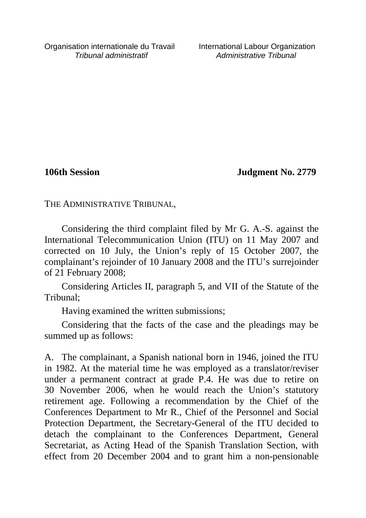**106th Session Judgment No. 2779**

THE ADMINISTRATIVE TRIBUNAL,

Considering the third complaint filed by Mr G. A.-S. against the International Telecommunication Union (ITU) on 11 May 2007 and corrected on 10 July, the Union's reply of 15 October 2007, the complainant's rejoinder of 10 January 2008 and the ITU's surrejoinder of 21 February 2008;

Considering Articles II, paragraph 5, and VII of the Statute of the Tribunal;

Having examined the written submissions;

Considering that the facts of the case and the pleadings may be summed up as follows:

A. The complainant, a Spanish national born in 1946, joined the ITU in 1982. At the material time he was employed as a translator/reviser under a permanent contract at grade P.4. He was due to retire on 30 November 2006, when he would reach the Union's statutory retirement age. Following a recommendation by the Chief of the Conferences Department to Mr R., Chief of the Personnel and Social Protection Department, the Secretary-General of the ITU decided to detach the complainant to the Conferences Department, General Secretariat, as Acting Head of the Spanish Translation Section, with effect from 20 December 2004 and to grant him a non-pensionable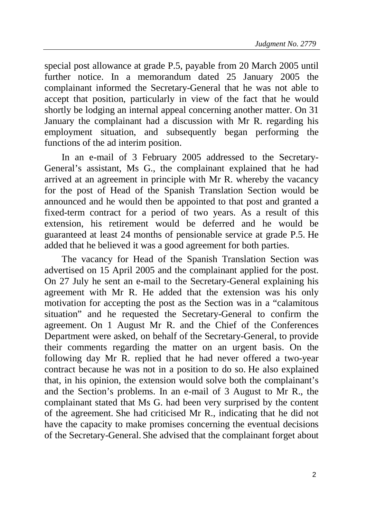special post allowance at grade P.5, payable from 20 March 2005 until further notice. In a memorandum dated 25 January 2005 the complainant informed the Secretary-General that he was not able to accept that position, particularly in view of the fact that he would shortly be lodging an internal appeal concerning another matter. On 31 January the complainant had a discussion with Mr R. regarding his employment situation, and subsequently began performing the functions of the ad interim position.

In an e-mail of 3 February 2005 addressed to the Secretary-General's assistant, Ms G., the complainant explained that he had arrived at an agreement in principle with Mr R. whereby the vacancy for the post of Head of the Spanish Translation Section would be announced and he would then be appointed to that post and granted a fixed-term contract for a period of two years. As a result of this extension, his retirement would be deferred and he would be guaranteed at least 24 months of pensionable service at grade P.5. He added that he believed it was a good agreement for both parties.

The vacancy for Head of the Spanish Translation Section was advertised on 15 April 2005 and the complainant applied for the post. On 27 July he sent an e-mail to the Secretary-General explaining his agreement with Mr R. He added that the extension was his only motivation for accepting the post as the Section was in a "calamitous situation" and he requested the Secretary-General to confirm the agreement. On 1 August Mr R. and the Chief of the Conferences Department were asked, on behalf of the Secretary-General, to provide their comments regarding the matter on an urgent basis. On the following day Mr R. replied that he had never offered a two-year contract because he was not in a position to do so. He also explained that, in his opinion, the extension would solve both the complainant's and the Section's problems. In an e-mail of 3 August to Mr R., the complainant stated that Ms G. had been very surprised by the content of the agreement. She had criticised Mr R., indicating that he did not have the capacity to make promises concerning the eventual decisions of the Secretary-General. She advised that the complainant forget about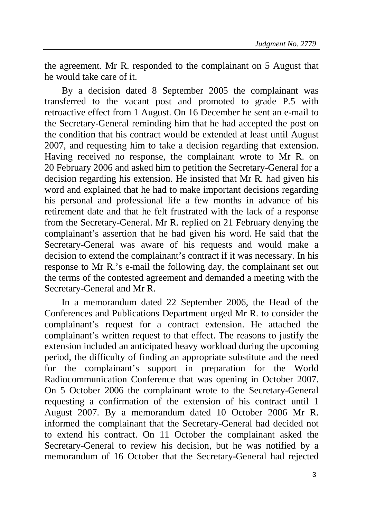the agreement. Mr R. responded to the complainant on 5 August that he would take care of it.

By a decision dated 8 September 2005 the complainant was transferred to the vacant post and promoted to grade P.5 with retroactive effect from 1 August. On 16 December he sent an e-mail to the Secretary-General reminding him that he had accepted the post on the condition that his contract would be extended at least until August 2007, and requesting him to take a decision regarding that extension. Having received no response, the complainant wrote to Mr R. on 20 February 2006 and asked him to petition the Secretary-General for a decision regarding his extension. He insisted that Mr R. had given his word and explained that he had to make important decisions regarding his personal and professional life a few months in advance of his retirement date and that he felt frustrated with the lack of a response from the Secretary-General. Mr R. replied on 21 February denying the complainant's assertion that he had given his word. He said that the Secretary-General was aware of his requests and would make a decision to extend the complainant's contract if it was necessary. In his response to Mr R.'s e-mail the following day, the complainant set out the terms of the contested agreement and demanded a meeting with the Secretary-General and Mr R.

In a memorandum dated 22 September 2006, the Head of the Conferences and Publications Department urged Mr R. to consider the complainant's request for a contract extension. He attached the complainant's written request to that effect. The reasons to justify the extension included an anticipated heavy workload during the upcoming period, the difficulty of finding an appropriate substitute and the need for the complainant's support in preparation for the World Radiocommunication Conference that was opening in October 2007. On 5 October 2006 the complainant wrote to the Secretary-General requesting a confirmation of the extension of his contract until 1 August 2007. By a memorandum dated 10 October 2006 Mr R. informed the complainant that the Secretary-General had decided not to extend his contract. On 11 October the complainant asked the Secretary-General to review his decision, but he was notified by a memorandum of 16 October that the Secretary-General had rejected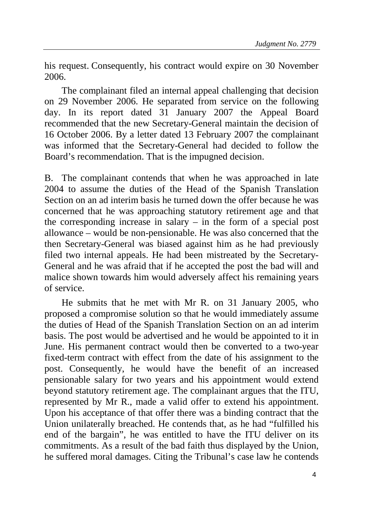his request. Consequently, his contract would expire on 30 November 2006.

The complainant filed an internal appeal challenging that decision on 29 November 2006. He separated from service on the following day. In its report dated 31 January 2007 the Appeal Board recommended that the new Secretary-General maintain the decision of 16 October 2006. By a letter dated 13 February 2007 the complainant was informed that the Secretary-General had decided to follow the Board's recommendation. That is the impugned decision.

B. The complainant contends that when he was approached in late 2004 to assume the duties of the Head of the Spanish Translation Section on an ad interim basis he turned down the offer because he was concerned that he was approaching statutory retirement age and that the corresponding increase in salary – in the form of a special post allowance – would be non-pensionable. He was also concerned that the then Secretary-General was biased against him as he had previously filed two internal appeals. He had been mistreated by the Secretary-General and he was afraid that if he accepted the post the bad will and malice shown towards him would adversely affect his remaining years of service.

He submits that he met with Mr R. on 31 January 2005, who proposed a compromise solution so that he would immediately assume the duties of Head of the Spanish Translation Section on an ad interim basis. The post would be advertised and he would be appointed to it in June. His permanent contract would then be converted to a two-year fixed-term contract with effect from the date of his assignment to the post. Consequently, he would have the benefit of an increased pensionable salary for two years and his appointment would extend beyond statutory retirement age. The complainant argues that the ITU, represented by Mr R., made a valid offer to extend his appointment. Upon his acceptance of that offer there was a binding contract that the Union unilaterally breached. He contends that, as he had "fulfilled his end of the bargain", he was entitled to have the ITU deliver on its commitments. As a result of the bad faith thus displayed by the Union, he suffered moral damages. Citing the Tribunal's case law he contends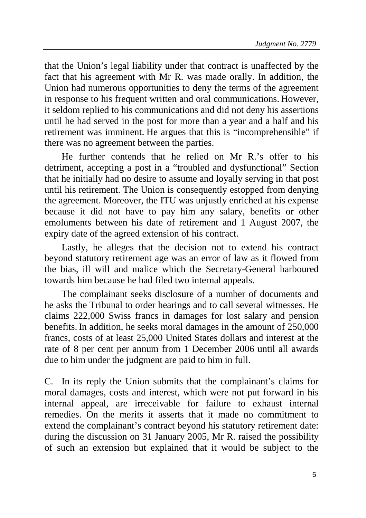that the Union's legal liability under that contract is unaffected by the fact that his agreement with Mr R. was made orally. In addition, the Union had numerous opportunities to deny the terms of the agreement in response to his frequent written and oral communications. However, it seldom replied to his communications and did not deny his assertions until he had served in the post for more than a year and a half and his retirement was imminent. He argues that this is "incomprehensible" if there was no agreement between the parties.

He further contends that he relied on Mr R.'s offer to his detriment, accepting a post in a "troubled and dysfunctional" Section that he initially had no desire to assume and loyally serving in that post until his retirement. The Union is consequently estopped from denying the agreement. Moreover, the ITU was unjustly enriched at his expense because it did not have to pay him any salary, benefits or other emoluments between his date of retirement and 1 August 2007, the expiry date of the agreed extension of his contract.

Lastly, he alleges that the decision not to extend his contract beyond statutory retirement age was an error of law as it flowed from the bias, ill will and malice which the Secretary-General harboured towards him because he had filed two internal appeals.

The complainant seeks disclosure of a number of documents and he asks the Tribunal to order hearings and to call several witnesses. He claims 222,000 Swiss francs in damages for lost salary and pension benefits. In addition, he seeks moral damages in the amount of 250,000 francs, costs of at least 25,000 United States dollars and interest at the rate of 8 per cent per annum from 1 December 2006 until all awards due to him under the judgment are paid to him in full.

C. In its reply the Union submits that the complainant's claims for moral damages, costs and interest, which were not put forward in his internal appeal, are irreceivable for failure to exhaust internal remedies. On the merits it asserts that it made no commitment to extend the complainant's contract beyond his statutory retirement date: during the discussion on 31 January 2005, Mr R. raised the possibility of such an extension but explained that it would be subject to the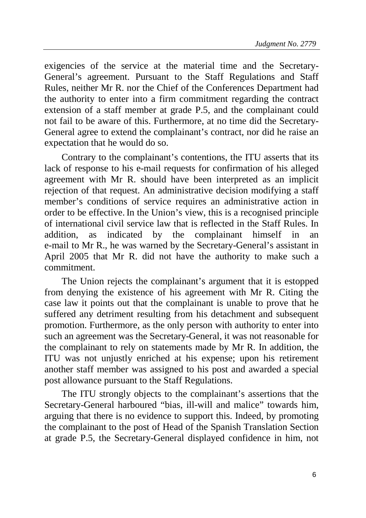exigencies of the service at the material time and the Secretary-General's agreement. Pursuant to the Staff Regulations and Staff Rules, neither Mr R. nor the Chief of the Conferences Department had the authority to enter into a firm commitment regarding the contract extension of a staff member at grade P.5, and the complainant could not fail to be aware of this. Furthermore, at no time did the Secretary-General agree to extend the complainant's contract, nor did he raise an expectation that he would do so.

Contrary to the complainant's contentions, the ITU asserts that its lack of response to his e-mail requests for confirmation of his alleged agreement with Mr R. should have been interpreted as an implicit rejection of that request. An administrative decision modifying a staff member's conditions of service requires an administrative action in order to be effective. In the Union's view, this is a recognised principle of international civil service law that is reflected in the Staff Rules. In addition, as indicated by the complainant himself in an e-mail to Mr R., he was warned by the Secretary-General's assistant in April 2005 that Mr R. did not have the authority to make such a commitment.

The Union rejects the complainant's argument that it is estopped from denying the existence of his agreement with Mr R. Citing the case law it points out that the complainant is unable to prove that he suffered any detriment resulting from his detachment and subsequent promotion. Furthermore, as the only person with authority to enter into such an agreement was the Secretary-General, it was not reasonable for the complainant to rely on statements made by Mr R. In addition, the ITU was not unjustly enriched at his expense; upon his retirement another staff member was assigned to his post and awarded a special post allowance pursuant to the Staff Regulations.

The ITU strongly objects to the complainant's assertions that the Secretary-General harboured "bias, ill-will and malice" towards him, arguing that there is no evidence to support this. Indeed, by promoting the complainant to the post of Head of the Spanish Translation Section at grade P.5, the Secretary-General displayed confidence in him, not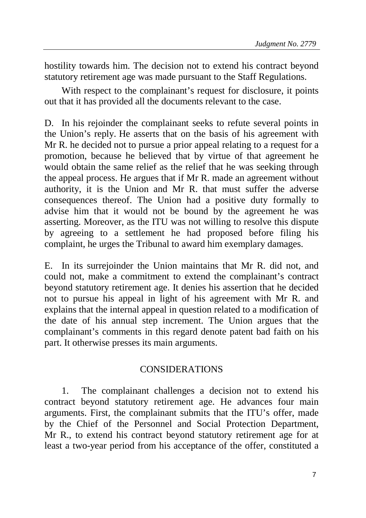hostility towards him. The decision not to extend his contract beyond statutory retirement age was made pursuant to the Staff Regulations.

With respect to the complainant's request for disclosure, it points out that it has provided all the documents relevant to the case.

D. In his rejoinder the complainant seeks to refute several points in the Union's reply. He asserts that on the basis of his agreement with Mr R. he decided not to pursue a prior appeal relating to a request for a promotion, because he believed that by virtue of that agreement he would obtain the same relief as the relief that he was seeking through the appeal process. He argues that if Mr R. made an agreement without authority, it is the Union and Mr R. that must suffer the adverse consequences thereof. The Union had a positive duty formally to advise him that it would not be bound by the agreement he was asserting. Moreover, as the ITU was not willing to resolve this dispute by agreeing to a settlement he had proposed before filing his complaint, he urges the Tribunal to award him exemplary damages.

E. In its surrejoinder the Union maintains that Mr R. did not, and could not, make a commitment to extend the complainant's contract beyond statutory retirement age. It denies his assertion that he decided not to pursue his appeal in light of his agreement with Mr R. and explains that the internal appeal in question related to a modification of the date of his annual step increment. The Union argues that the complainant's comments in this regard denote patent bad faith on his part. It otherwise presses its main arguments.

## CONSIDERATIONS

1. The complainant challenges a decision not to extend his contract beyond statutory retirement age. He advances four main arguments. First, the complainant submits that the ITU's offer, made by the Chief of the Personnel and Social Protection Department, Mr R., to extend his contract beyond statutory retirement age for at least a two-year period from his acceptance of the offer, constituted a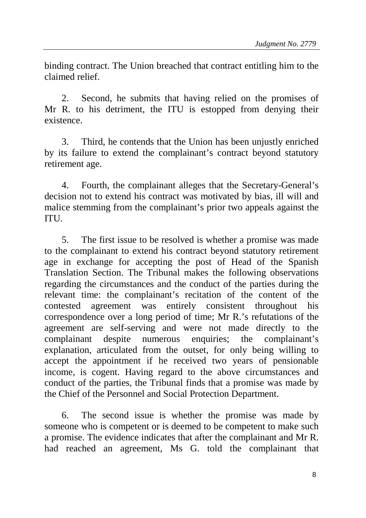binding contract. The Union breached that contract entitling him to the claimed relief.

2. Second, he submits that having relied on the promises of Mr R. to his detriment, the ITU is estopped from denying their existence.

3. Third, he contends that the Union has been unjustly enriched by its failure to extend the complainant's contract beyond statutory retirement age.

4. Fourth, the complainant alleges that the Secretary-General's decision not to extend his contract was motivated by bias, ill will and malice stemming from the complainant's prior two appeals against the ITU.

5. The first issue to be resolved is whether a promise was made to the complainant to extend his contract beyond statutory retirement age in exchange for accepting the post of Head of the Spanish Translation Section. The Tribunal makes the following observations regarding the circumstances and the conduct of the parties during the relevant time: the complainant's recitation of the content of the contested agreement was entirely consistent throughout his correspondence over a long period of time; Mr R.'s refutations of the agreement are self-serving and were not made directly to the complainant despite numerous enquiries; the complainant's explanation, articulated from the outset, for only being willing to accept the appointment if he received two years of pensionable income, is cogent. Having regard to the above circumstances and conduct of the parties, the Tribunal finds that a promise was made by the Chief of the Personnel and Social Protection Department.

6. The second issue is whether the promise was made by someone who is competent or is deemed to be competent to make such a promise. The evidence indicates that after the complainant and Mr R. had reached an agreement, Ms G. told the complainant that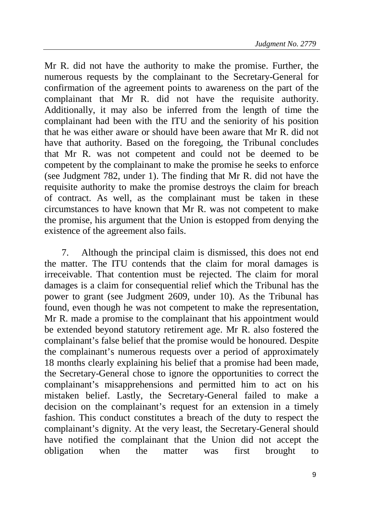Mr R. did not have the authority to make the promise. Further, the numerous requests by the complainant to the Secretary-General for confirmation of the agreement points to awareness on the part of the complainant that Mr R. did not have the requisite authority. Additionally, it may also be inferred from the length of time the complainant had been with the ITU and the seniority of his position that he was either aware or should have been aware that Mr R. did not have that authority. Based on the foregoing, the Tribunal concludes that Mr R. was not competent and could not be deemed to be competent by the complainant to make the promise he seeks to enforce (see Judgment 782, under 1). The finding that Mr R. did not have the requisite authority to make the promise destroys the claim for breach of contract. As well, as the complainant must be taken in these circumstances to have known that Mr R. was not competent to make the promise, his argument that the Union is estopped from denying the existence of the agreement also fails.

7. Although the principal claim is dismissed, this does not end the matter. The ITU contends that the claim for moral damages is irreceivable. That contention must be rejected. The claim for moral damages is a claim for consequential relief which the Tribunal has the power to grant (see Judgment 2609, under 10). As the Tribunal has found, even though he was not competent to make the representation, Mr R. made a promise to the complainant that his appointment would be extended beyond statutory retirement age. Mr R. also fostered the complainant's false belief that the promise would be honoured. Despite the complainant's numerous requests over a period of approximately 18 months clearly explaining his belief that a promise had been made, the Secretary-General chose to ignore the opportunities to correct the complainant's misapprehensions and permitted him to act on his mistaken belief. Lastly, the Secretary-General failed to make a decision on the complainant's request for an extension in a timely fashion. This conduct constitutes a breach of the duty to respect the complainant's dignity. At the very least, the Secretary-General should have notified the complainant that the Union did not accept the obligation when the matter was first brought to